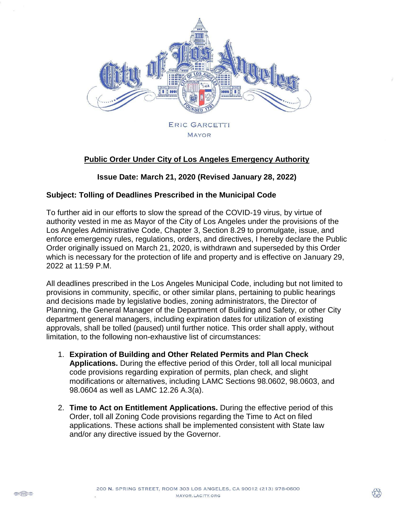

## **Public Order Under City of Los Angeles Emergency Authority**

**Issue Date: March 21, 2020 (Revised January 28, 2022)**

## **Subject: Tolling of Deadlines Prescribed in the Municipal Code**

To further aid in our efforts to slow the spread of the COVID-19 virus, by virtue of authority vested in me as Mayor of the City of Los Angeles under the provisions of the Los Angeles Administrative Code, Chapter 3, Section 8.29 to promulgate, issue, and enforce emergency rules, regulations, orders, and directives, I hereby declare the Public Order originally issued on March 21, 2020, is withdrawn and superseded by this Order which is necessary for the protection of life and property and is effective on January 29, 2022 at 11:59 P.M.

All deadlines prescribed in the Los Angeles Municipal Code, including but not limited to provisions in community, specific, or other similar plans, pertaining to public hearings and decisions made by legislative bodies, zoning administrators, the Director of Planning, the General Manager of the Department of Building and Safety, or other City department general managers, including expiration dates for utilization of existing approvals, shall be tolled (paused) until further notice. This order shall apply, without limitation, to the following non-exhaustive list of circumstances:

- 1. **Expiration of Building and Other Related Permits and Plan Check Applications.** During the effective period of this Order, toll all local municipal code provisions regarding expiration of permits, plan check, and slight modifications or alternatives, including LAMC Sections 98.0602, 98.0603, and 98.0604 as well as LAMC 12.26 A.3(a).
- 2. **Time to Act on Entitlement Applications.** During the effective period of this Order, toll all Zoning Code provisions regarding the Time to Act on filed applications. These actions shall be implemented consistent with State law and/or any directive issued by the Governor.